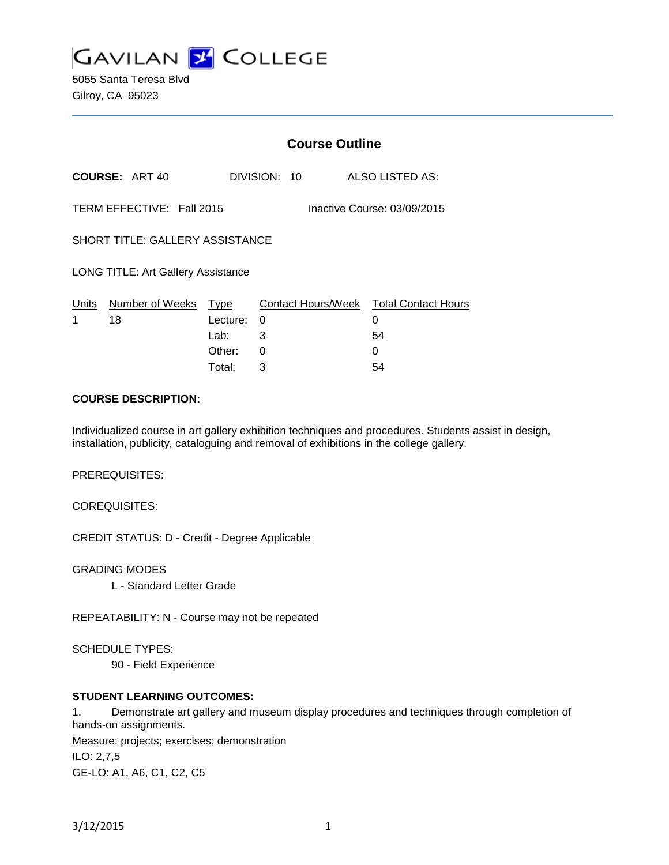

5055 Santa Teresa Blvd Gilroy, CA 95023

|                                                          |                       | <b>Course Outline</b> |              |                                        |
|----------------------------------------------------------|-----------------------|-----------------------|--------------|----------------------------------------|
|                                                          | <b>COURSE: ART 40</b> |                       | DIVISION: 10 | ALSO LISTED AS:                        |
| TERM EFFECTIVE: Fall 2015<br>Inactive Course: 03/09/2015 |                       |                       |              |                                        |
| <b>SHORT TITLE: GALLERY ASSISTANCE</b>                   |                       |                       |              |                                        |
| <b>LONG TITLE: Art Gallery Assistance</b>                |                       |                       |              |                                        |
| Units                                                    | Number of Weeks       | Type                  |              | Contact Hours/Week Total Contact Hours |
| 1                                                        | 18                    | Lecture:              | 0            | 0                                      |
|                                                          |                       | Lab:                  | 3            | 54                                     |
|                                                          |                       | Other:                | 0            | 0                                      |
|                                                          |                       | Total:                | 3            | 54                                     |

#### **COURSE DESCRIPTION:**

Individualized course in art gallery exhibition techniques and procedures. Students assist in design, installation, publicity, cataloguing and removal of exhibitions in the college gallery.

PREREQUISITES:

COREQUISITES:

CREDIT STATUS: D - Credit - Degree Applicable

GRADING MODES

L - Standard Letter Grade

REPEATABILITY: N - Course may not be repeated

SCHEDULE TYPES:

90 - Field Experience

### **STUDENT LEARNING OUTCOMES:**

1. Demonstrate art gallery and museum display procedures and techniques through completion of hands-on assignments. Measure: projects; exercises; demonstration

ILO: 2,7,5 GE-LO: A1, A6, C1, C2, C5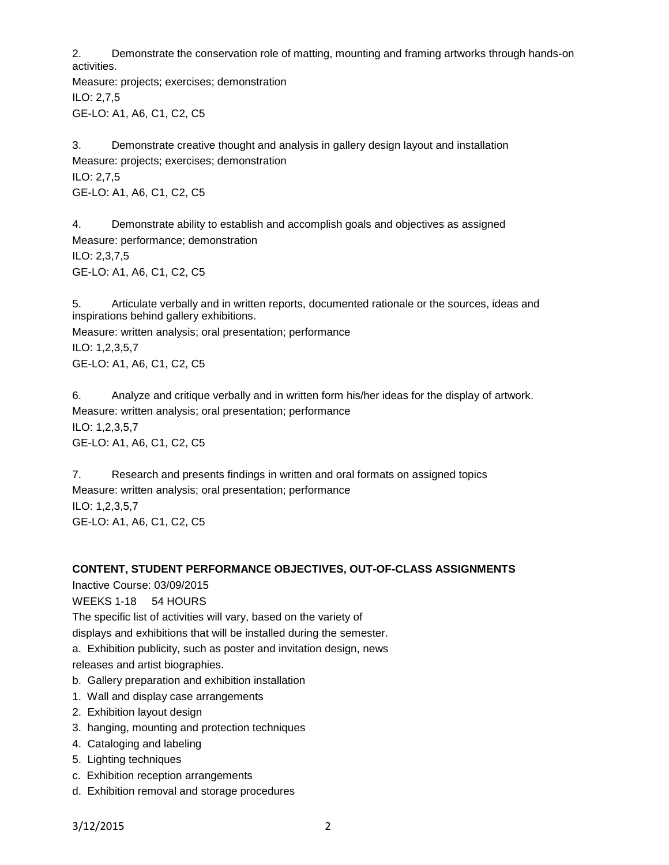2. Demonstrate the conservation role of matting, mounting and framing artworks through hands-on activities.

Measure: projects; exercises; demonstration ILO: 2,7,5 GE-LO: A1, A6, C1, C2, C5

3. Demonstrate creative thought and analysis in gallery design layout and installation Measure: projects; exercises; demonstration ILO: 2,7,5 GE-LO: A1, A6, C1, C2, C5

4. Demonstrate ability to establish and accomplish goals and objectives as assigned Measure: performance; demonstration ILO: 2,3,7,5 GE-LO: A1, A6, C1, C2, C5

5. Articulate verbally and in written reports, documented rationale or the sources, ideas and inspirations behind gallery exhibitions.

Measure: written analysis; oral presentation; performance ILO: 1,2,3,5,7 GE-LO: A1, A6, C1, C2, C5

6. Analyze and critique verbally and in written form his/her ideas for the display of artwork. Measure: written analysis; oral presentation; performance ILO: 1,2,3,5,7 GE-LO: A1, A6, C1, C2, C5

7. Research and presents findings in written and oral formats on assigned topics Measure: written analysis; oral presentation; performance ILO: 1,2,3,5,7 GE-LO: A1, A6, C1, C2, C5

#### **CONTENT, STUDENT PERFORMANCE OBJECTIVES, OUT-OF-CLASS ASSIGNMENTS**

Inactive Course: 03/09/2015

WEEKS 1-18 54 HOURS

The specific list of activities will vary, based on the variety of

displays and exhibitions that will be installed during the semester.

a. Exhibition publicity, such as poster and invitation design, news

releases and artist biographies.

- b. Gallery preparation and exhibition installation
- 1. Wall and display case arrangements
- 2. Exhibition layout design
- 3. hanging, mounting and protection techniques
- 4. Cataloging and labeling
- 5. Lighting techniques
- c. Exhibition reception arrangements
- d. Exhibition removal and storage procedures

3/12/2015 2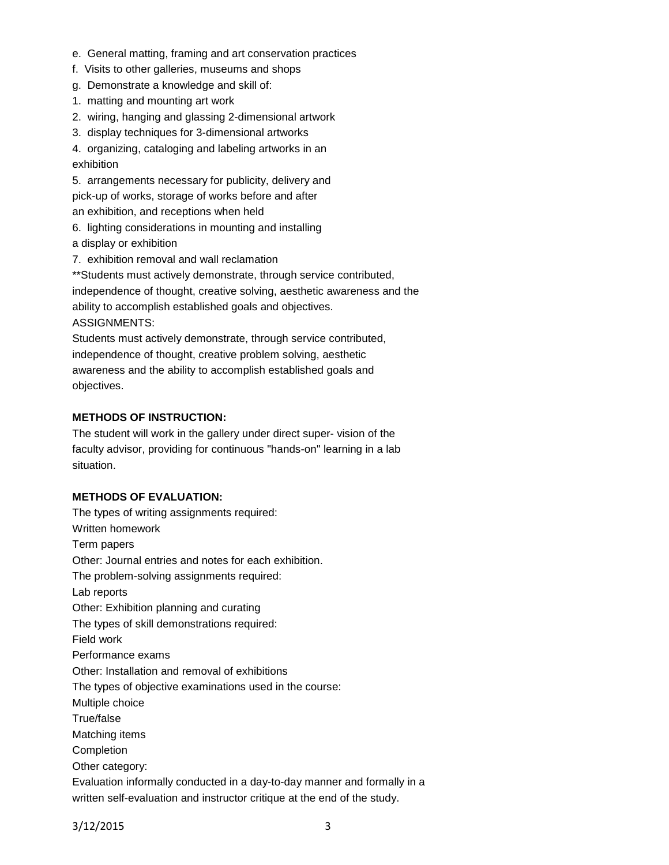- e. General matting, framing and art conservation practices
- f. Visits to other galleries, museums and shops
- g. Demonstrate a knowledge and skill of:
- 1. matting and mounting art work
- 2. wiring, hanging and glassing 2-dimensional artwork
- 3. display techniques for 3-dimensional artworks

4. organizing, cataloging and labeling artworks in an exhibition

5. arrangements necessary for publicity, delivery and pick-up of works, storage of works before and after an exhibition, and receptions when held

- 6. lighting considerations in mounting and installing a display or exhibition
- 7. exhibition removal and wall reclamation

\*\*Students must actively demonstrate, through service contributed, independence of thought, creative solving, aesthetic awareness and the ability to accomplish established goals and objectives. ASSIGNMENTS:

Students must actively demonstrate, through service contributed, independence of thought, creative problem solving, aesthetic awareness and the ability to accomplish established goals and objectives.

## **METHODS OF INSTRUCTION:**

The student will work in the gallery under direct super- vision of the faculty advisor, providing for continuous "hands-on" learning in a lab situation.

#### **METHODS OF EVALUATION:**

The types of writing assignments required: Written homework Term papers Other: Journal entries and notes for each exhibition. The problem-solving assignments required: Lab reports Other: Exhibition planning and curating The types of skill demonstrations required: Field work Performance exams Other: Installation and removal of exhibitions The types of objective examinations used in the course: Multiple choice True/false Matching items Completion Other category: Evaluation informally conducted in a day-to-day manner and formally in a written self-evaluation and instructor critique at the end of the study.

3/12/2015 3